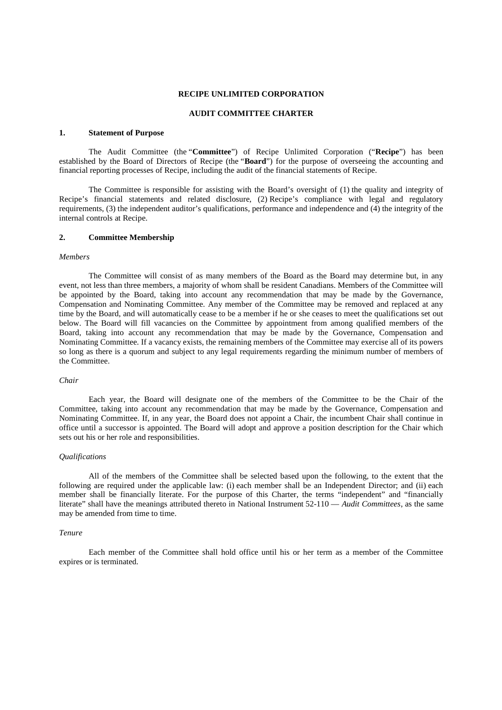#### **RECIPE UNLIMITED CORPORATION**

# **AUDIT COMMITTEE CHARTER**

#### **1. Statement of Purpose**

The Audit Committee (the "**Committee**") of Recipe Unlimited Corporation ("**Recipe**") has been established by the Board of Directors of Recipe (the "**Board**") for the purpose of overseeing the accounting and financial reporting processes of Recipe, including the audit of the financial statements of Recipe.

The Committee is responsible for assisting with the Board's oversight of (1) the quality and integrity of Recipe's financial statements and related disclosure, (2) Recipe's compliance with legal and regulatory requirements, (3) the independent auditor's qualifications, performance and independence and (4) the integrity of the internal controls at Recipe.

#### **2. Committee Membership**

#### *Members*

The Committee will consist of as many members of the Board as the Board may determine but, in any event, not less than three members, a majority of whom shall be resident Canadians. Members of the Committee will be appointed by the Board, taking into account any recommendation that may be made by the Governance, Compensation and Nominating Committee. Any member of the Committee may be removed and replaced at any time by the Board, and will automatically cease to be a member if he or she ceases to meet the qualifications set out below. The Board will fill vacancies on the Committee by appointment from among qualified members of the Board, taking into account any recommendation that may be made by the Governance, Compensation and Nominating Committee. If a vacancy exists, the remaining members of the Committee may exercise all of its powers so long as there is a quorum and subject to any legal requirements regarding the minimum number of members of the Committee.

#### *Chair*

Each year, the Board will designate one of the members of the Committee to be the Chair of the Committee, taking into account any recommendation that may be made by the Governance, Compensation and Nominating Committee. If, in any year, the Board does not appoint a Chair, the incumbent Chair shall continue in office until a successor is appointed. The Board will adopt and approve a position description for the Chair which sets out his or her role and responsibilities.

## *Qualifications*

All of the members of the Committee shall be selected based upon the following, to the extent that the following are required under the applicable law: (i) each member shall be an Independent Director; and (ii) each member shall be financially literate. For the purpose of this Charter, the terms "independent" and "financially literate" shall have the meanings attributed thereto in National Instrument 52-110 — *Audit Committees*, as the same may be amended from time to time.

#### *Tenure*

Each member of the Committee shall hold office until his or her term as a member of the Committee expires or is terminated.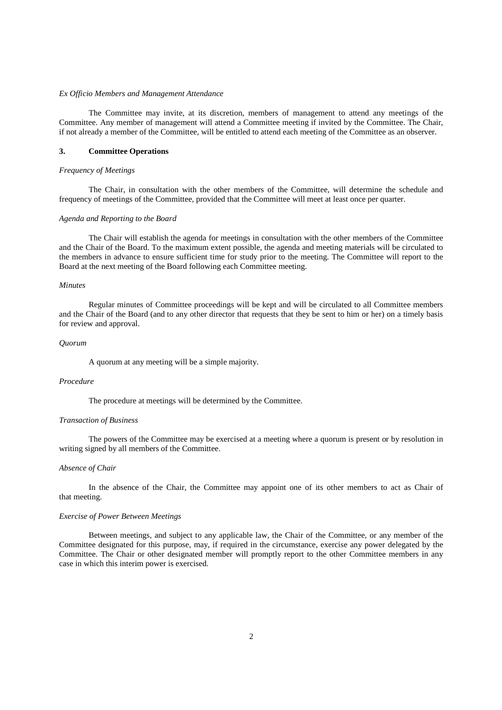#### *Ex Officio Members and Management Attendance*

The Committee may invite, at its discretion, members of management to attend any meetings of the Committee. Any member of management will attend a Committee meeting if invited by the Committee. The Chair, if not already a member of the Committee, will be entitled to attend each meeting of the Committee as an observer.

## **3. Committee Operations**

## *Frequency of Meetings*

The Chair, in consultation with the other members of the Committee, will determine the schedule and frequency of meetings of the Committee, provided that the Committee will meet at least once per quarter.

#### *Agenda and Reporting to the Board*

The Chair will establish the agenda for meetings in consultation with the other members of the Committee and the Chair of the Board. To the maximum extent possible, the agenda and meeting materials will be circulated to the members in advance to ensure sufficient time for study prior to the meeting. The Committee will report to the Board at the next meeting of the Board following each Committee meeting.

#### *Minutes*

Regular minutes of Committee proceedings will be kept and will be circulated to all Committee members and the Chair of the Board (and to any other director that requests that they be sent to him or her) on a timely basis for review and approval.

## *Quorum*

A quorum at any meeting will be a simple majority.

# *Procedure*

The procedure at meetings will be determined by the Committee.

# *Transaction of Business*

The powers of the Committee may be exercised at a meeting where a quorum is present or by resolution in writing signed by all members of the Committee.

#### *Absence of Chair*

In the absence of the Chair, the Committee may appoint one of its other members to act as Chair of that meeting.

### *Exercise of Power Between Meetings*

Between meetings, and subject to any applicable law, the Chair of the Committee, or any member of the Committee designated for this purpose, may, if required in the circumstance, exercise any power delegated by the Committee. The Chair or other designated member will promptly report to the other Committee members in any case in which this interim power is exercised.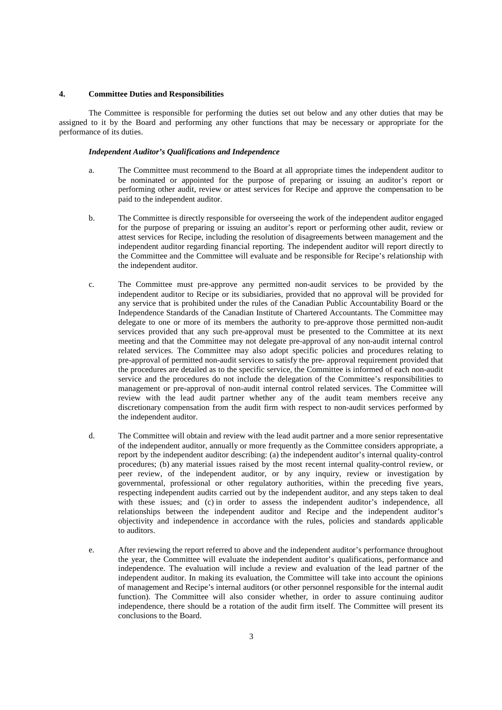#### **4. Committee Duties and Responsibilities**

The Committee is responsible for performing the duties set out below and any other duties that may be assigned to it by the Board and performing any other functions that may be necessary or appropriate for the performance of its duties.

# *Independent Auditor's Qualifications and Independence*

- a. The Committee must recommend to the Board at all appropriate times the independent auditor to be nominated or appointed for the purpose of preparing or issuing an auditor's report or performing other audit, review or attest services for Recipe and approve the compensation to be paid to the independent auditor.
- b. The Committee is directly responsible for overseeing the work of the independent auditor engaged for the purpose of preparing or issuing an auditor's report or performing other audit, review or attest services for Recipe, including the resolution of disagreements between management and the independent auditor regarding financial reporting. The independent auditor will report directly to the Committee and the Committee will evaluate and be responsible for Recipe's relationship with the independent auditor.
- c. The Committee must pre-approve any permitted non-audit services to be provided by the independent auditor to Recipe or its subsidiaries, provided that no approval will be provided for any service that is prohibited under the rules of the Canadian Public Accountability Board or the Independence Standards of the Canadian Institute of Chartered Accountants. The Committee may delegate to one or more of its members the authority to pre-approve those permitted non-audit services provided that any such pre-approval must be presented to the Committee at its next meeting and that the Committee may not delegate pre-approval of any non-audit internal control related services. The Committee may also adopt specific policies and procedures relating to pre-approval of permitted non-audit services to satisfy the pre- approval requirement provided that the procedures are detailed as to the specific service, the Committee is informed of each non-audit service and the procedures do not include the delegation of the Committee's responsibilities to management or pre-approval of non-audit internal control related services. The Committee will review with the lead audit partner whether any of the audit team members receive any discretionary compensation from the audit firm with respect to non-audit services performed by the independent auditor.
- d. The Committee will obtain and review with the lead audit partner and a more senior representative of the independent auditor, annually or more frequently as the Committee considers appropriate, a report by the independent auditor describing: (a) the independent auditor's internal quality-control procedures; (b) any material issues raised by the most recent internal quality-control review, or peer review, of the independent auditor, or by any inquiry, review or investigation by governmental, professional or other regulatory authorities, within the preceding five years, respecting independent audits carried out by the independent auditor, and any steps taken to deal with these issues; and (c) in order to assess the independent auditor's independence, all relationships between the independent auditor and Recipe and the independent auditor's objectivity and independence in accordance with the rules, policies and standards applicable to auditors.
- e. After reviewing the report referred to above and the independent auditor's performance throughout the year, the Committee will evaluate the independent auditor's qualifications, performance and independence. The evaluation will include a review and evaluation of the lead partner of the independent auditor. In making its evaluation, the Committee will take into account the opinions of management and Recipe's internal auditors (or other personnel responsible for the internal audit function). The Committee will also consider whether, in order to assure continuing auditor independence, there should be a rotation of the audit firm itself. The Committee will present its conclusions to the Board.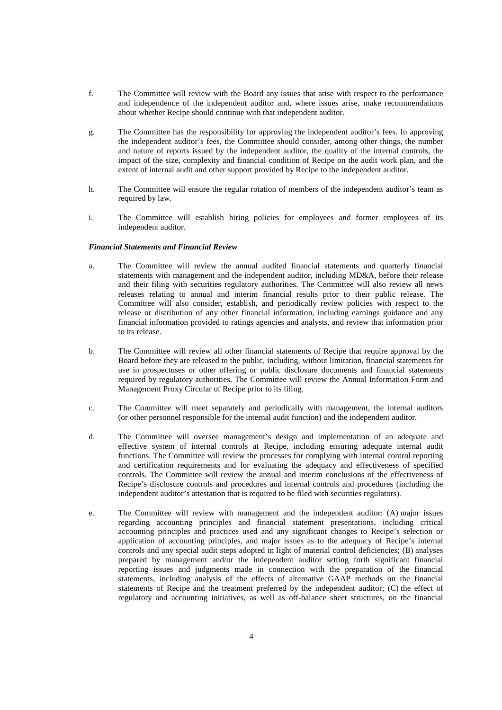- f. The Committee will review with the Board any issues that arise with respect to the performance and independence of the independent auditor and, where issues arise, make recommendations about whether Recipe should continue with that independent auditor.
- g. The Committee has the responsibility for approving the independent auditor's fees. In approving the independent auditor's fees, the Committee should consider, among other things, the number and nature of reports issued by the independent auditor, the quality of the internal controls, the impact of the size, complexity and financial condition of Recipe on the audit work plan, and the extent of internal audit and other support provided by Recipe to the independent auditor.
- h. The Committee will ensure the regular rotation of members of the independent auditor's team as required by law.
- i. The Committee will establish hiring policies for employees and former employees of its independent auditor.

## *Financial Statements and Financial Review*

- a. The Committee will review the annual audited financial statements and quarterly financial statements with management and the independent auditor, including MD&A, before their release and their filing with securities regulatory authorities. The Committee will also review all news releases relating to annual and interim financial results prior to their public release. The Committee will also consider, establish, and periodically review policies with respect to the release or distribution of any other financial information, including earnings guidance and any financial information provided to ratings agencies and analysts, and review that information prior to its release.
- b. The Committee will review all other financial statements of Recipe that require approval by the Board before they are released to the public, including, without limitation, financial statements for use in prospectuses or other offering or public disclosure documents and financial statements required by regulatory authorities. The Committee will review the Annual Information Form and Management Proxy Circular of Recipe prior to its filing.
- c. The Committee will meet separately and periodically with management, the internal auditors (or other personnel responsible for the internal audit function) and the independent auditor.
- d. The Committee will oversee management's design and implementation of an adequate and effective system of internal controls at Recipe, including ensuring adequate internal audit functions. The Committee will review the processes for complying with internal control reporting and certification requirements and for evaluating the adequacy and effectiveness of specified controls. The Committee will review the annual and interim conclusions of the effectiveness of Recipe's disclosure controls and procedures and internal controls and procedures (including the independent auditor's attestation that is required to be filed with securities regulators).
- e. The Committee will review with management and the independent auditor: (A) major issues regarding accounting principles and financial statement presentations, including critical accounting principles and practices used and any significant changes to Recipe's selection or application of accounting principles, and major issues as to the adequacy of Recipe's internal controls and any special audit steps adopted in light of material control deficiencies; (B) analyses prepared by management and/or the independent auditor setting forth significant financial reporting issues and judgments made in connection with the preparation of the financial statements, including analysis of the effects of alternative GAAP methods on the financial statements of Recipe and the treatment preferred by the independent auditor; (C) the effect of regulatory and accounting initiatives, as well as off-balance sheet structures, on the financial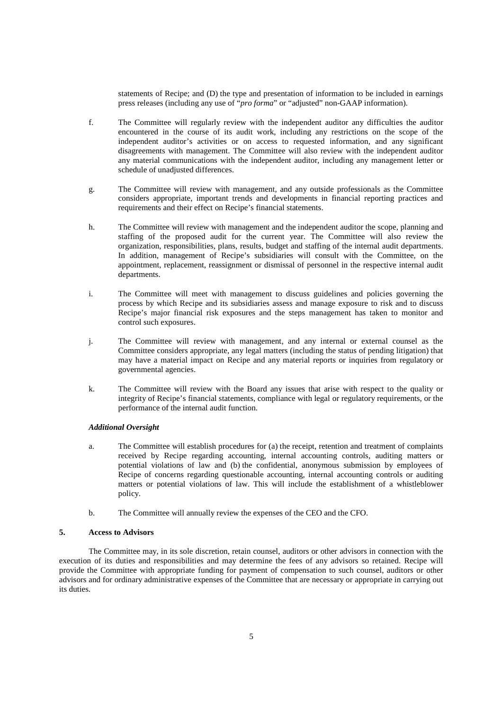statements of Recipe; and (D) the type and presentation of information to be included in earnings press releases (including any use of "*pro forma*" or "adjusted" non-GAAP information).

- f. The Committee will regularly review with the independent auditor any difficulties the auditor encountered in the course of its audit work, including any restrictions on the scope of the independent auditor's activities or on access to requested information, and any significant disagreements with management. The Committee will also review with the independent auditor any material communications with the independent auditor, including any management letter or schedule of unadjusted differences.
- g. The Committee will review with management, and any outside professionals as the Committee considers appropriate, important trends and developments in financial reporting practices and requirements and their effect on Recipe's financial statements.
- h. The Committee will review with management and the independent auditor the scope, planning and staffing of the proposed audit for the current year. The Committee will also review the organization, responsibilities, plans, results, budget and staffing of the internal audit departments. In addition, management of Recipe's subsidiaries will consult with the Committee, on the appointment, replacement, reassignment or dismissal of personnel in the respective internal audit departments.
- i. The Committee will meet with management to discuss guidelines and policies governing the process by which Recipe and its subsidiaries assess and manage exposure to risk and to discuss Recipe's major financial risk exposures and the steps management has taken to monitor and control such exposures.
- j. The Committee will review with management, and any internal or external counsel as the Committee considers appropriate, any legal matters (including the status of pending litigation) that may have a material impact on Recipe and any material reports or inquiries from regulatory or governmental agencies.
- k. The Committee will review with the Board any issues that arise with respect to the quality or integrity of Recipe's financial statements, compliance with legal or regulatory requirements, or the performance of the internal audit function.

## *Additional Oversight*

- a. The Committee will establish procedures for (a) the receipt, retention and treatment of complaints received by Recipe regarding accounting, internal accounting controls, auditing matters or potential violations of law and (b) the confidential, anonymous submission by employees of Recipe of concerns regarding questionable accounting, internal accounting controls or auditing matters or potential violations of law. This will include the establishment of a whistleblower policy.
- b. The Committee will annually review the expenses of the CEO and the CFO.

# **5. Access to Advisors**

The Committee may, in its sole discretion, retain counsel, auditors or other advisors in connection with the execution of its duties and responsibilities and may determine the fees of any advisors so retained. Recipe will provide the Committee with appropriate funding for payment of compensation to such counsel, auditors or other advisors and for ordinary administrative expenses of the Committee that are necessary or appropriate in carrying out its duties.